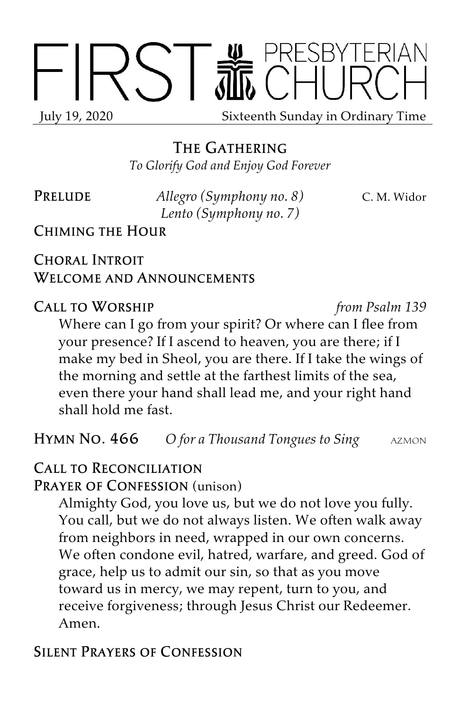

# The Gathering

*To Glorify God and Enjoy God Forever*

PRELUDE *Allegro (Symphony no. 8)* C. M. Widor *Lento (Symphony no. 7)*

Chiming the Hour

# Choral Introit Welcome and Announcements

Call to Worship *from Psalm 139*

Where can I go from your spirit? Or where can I flee from your presence? If I ascend to heaven, you are there; if I make my bed in Sheol, you are there. If I take the wings of the morning and settle at the farthest limits of the sea, even there your hand shall lead me, and your right hand shall hold me fast.

Hymn No. 466 *O for a Thousand Tongues to Sing* azmon

# Call to Reconciliation

PRAYER OF CONFESSION (unison)

Almighty God, you love us, but we do not love you fully. You call, but we do not always listen. We often walk away from neighbors in need, wrapped in our own concerns. We often condone evil, hatred, warfare, and greed. God of grace, help us to admit our sin, so that as you move toward us in mercy, we may repent, turn to you, and receive forgiveness; through Jesus Christ our Redeemer. Amen.

# Silent Prayers of Confession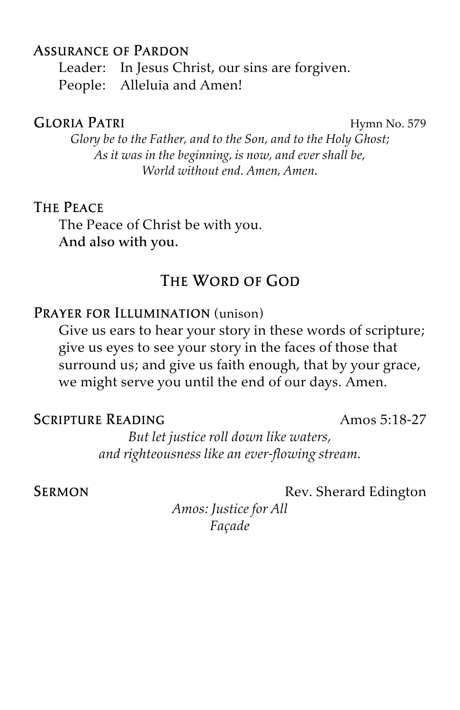### Assurance of Pardon

Leader: In Jesus Christ, our sins are forgiven. People: Alleluia and Amen!

#### GLORIA PATRI Hymn No. 579

*Glory be to the Father, and to the Son, and to the Holy Ghost; As it was in the beginning, is now, and ever shall be, World without end. Amen, Amen.*

### The Peace

The Peace of Christ be with you. And also with you.

# The Word of God

#### PRAYER FOR ILLUMINATION (unison)

Give us ears to hear your story in these words of scripture; give us eyes to see your story in the faces of those that surround us; and give us faith enough, that by your grace, we might serve you until the end of our days. Amen.

#### SCRIPTURE READING Amos 5:18-27

*But let justice roll down like waters, and righteousness like an ever-flowing stream.*

SERMON Rev. Sherard Edington

*Amos: Justice for All Façade*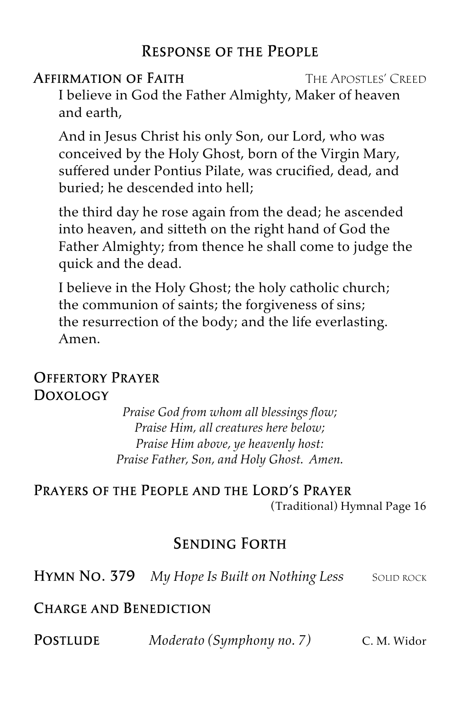# Response of the People

## **AFFIRMATION OF FAITH THE APOSTLES' CREED**

I believe in God the Father Almighty, Maker of heaven and earth,

And in Jesus Christ his only Son, our Lord, who was conceived by the Holy Ghost, born of the Virgin Mary, suffered under Pontius Pilate, was crucified, dead, and buried; he descended into hell;

the third day he rose again from the dead; he ascended into heaven, and sitteth on the right hand of God the Father Almighty; from thence he shall come to judge the quick and the dead.

I believe in the Holy Ghost; the holy catholic church; the communion of saints; the forgiveness of sins; the resurrection of the body; and the life everlasting. Amen.

## Offertory Prayer Doxology

*Praise God from whom all blessings flow; Praise Him, all creatures here below; Praise Him above, ye heavenly host: Praise Father, Son, and Holy Ghost. Amen.*

Prayers of the People and the Lord's Prayer (Traditional) Hymnal Page 16

# Sending Forth

**HYMN NO. 379** *My Hope Is Built on Nothing Less* SOLID ROCK

## Charge and Benediction

Postlude *Moderato (Symphony no. 7)* C. M. Widor